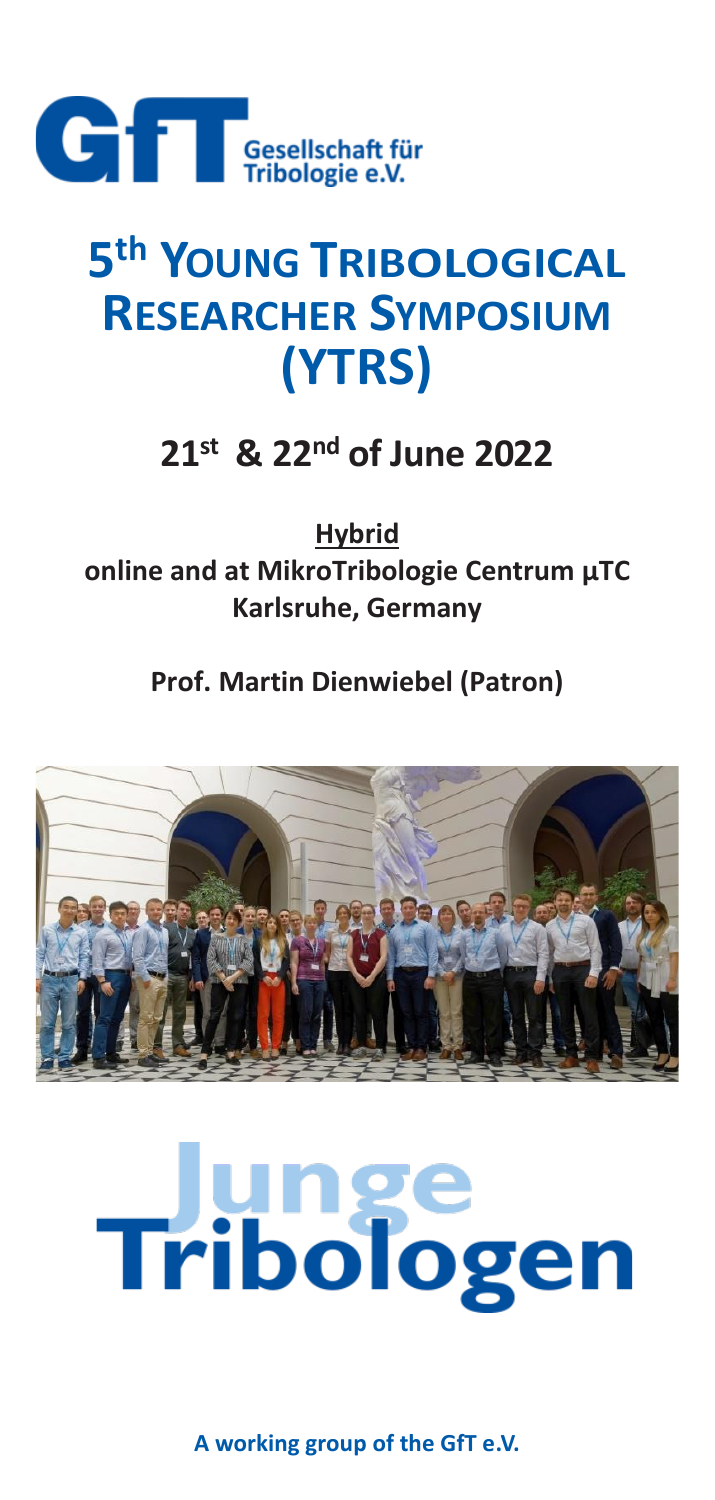

# **5 th YOUNG TRIBOLOGICAL RESEARCHER SYMPOSIUM (YTRS)**

## **21st & 22nd of June 2022**

**Hybrid online and at MikroTribologie Centrum μTC Karlsruhe, Germany**

**Prof. Martin Dienwiebel (Patron)**



# **Tribologen**

**A working group of the GfT e.V.**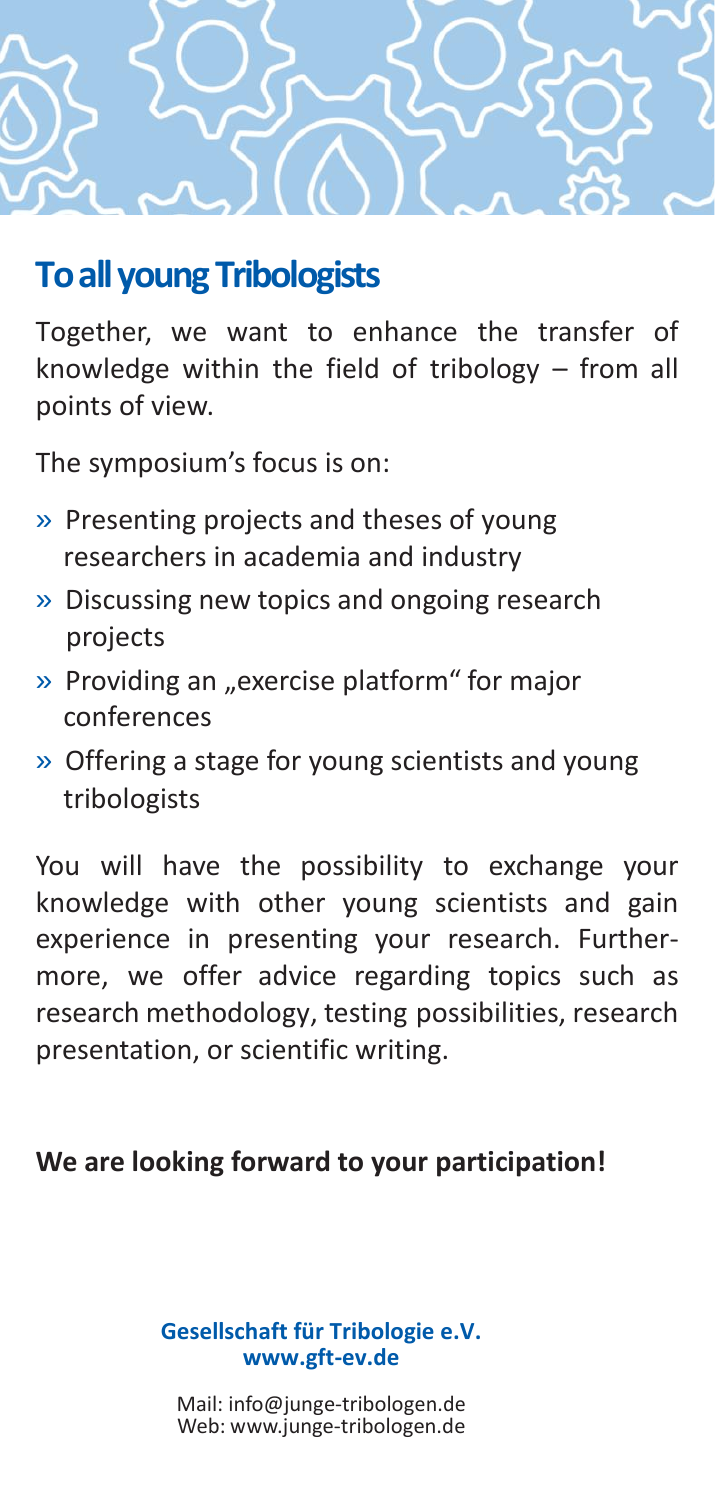

#### **To all young Tribologists**

Together, we want to enhance the transfer of knowledge within the field of tribology – from all points of view.

The symposium's focus is on:

- » Presenting projects and theses of young researchers in academia and industry
- » Discussing new topics and ongoing research projects
- » Providing an "exercise platform" for major conferences
- » Offering a stage for young scientists and young tribologists

You will have the possibility to exchange your knowledge with other young scientists and gain experience in presenting your research. Furthermore, we offer advice regarding topics such as research methodology, testing possibilities, research presentation, or scientific writing.

#### **We are looking forward to your participation!**

**Gesellschaft für Tribologie e.V. www.gft-ev.de**

[Mail: info@junge-tribologen.de](mailto:info@junge-tribologen.de) Web: [www.junge-tribologen.de](http://www.junge-tribologen.de/)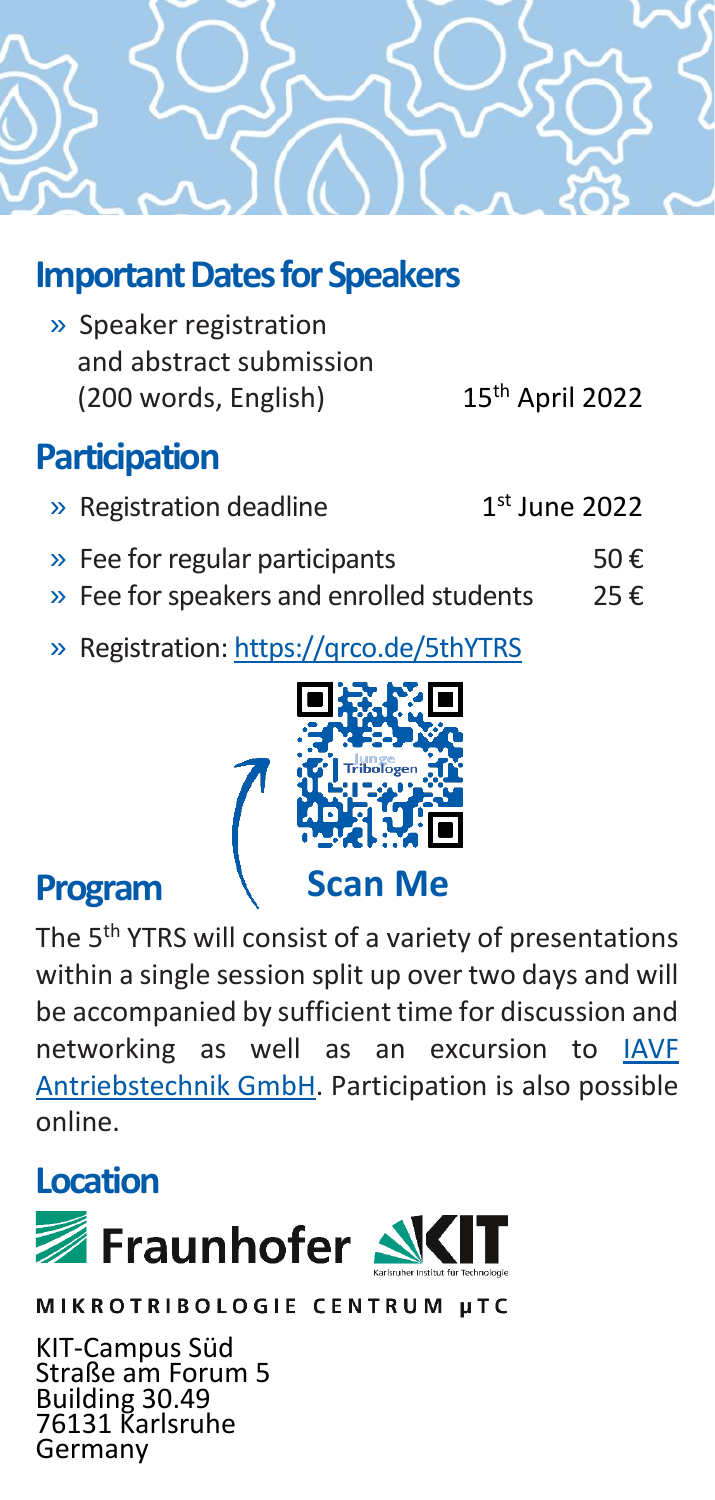

## **Important Dates for Speakers**

» Speaker registration and abstract submission (200 words, English) 15th April 2022

## **Participation**

| » Registration deadline        | $1st$ June 2022 |
|--------------------------------|-----------------|
| » Fee for regular participants | 50€             |

- » Fee for speakers and enrolled students  $25 \in$
- » Registration:<https://qrco.de/5thYTRS>



#### **Program**

The 5<sup>th</sup> YTRS will consist of a variety of presentations within a single session split up over two days and will be accompanied by sufficient time for discussion and networking as well as an excursion to [IAVF](https://www.iavf.de/)  [Antriebstechnik GmbH.](https://www.iavf.de/) Participation is also possible online.

## **Location**



MIKROTRIBOLOGIE CENTRUM µTC

KIT-Campus Süd Straße am Forum 5 Building 30.49 76131 Karlsruhe Germany